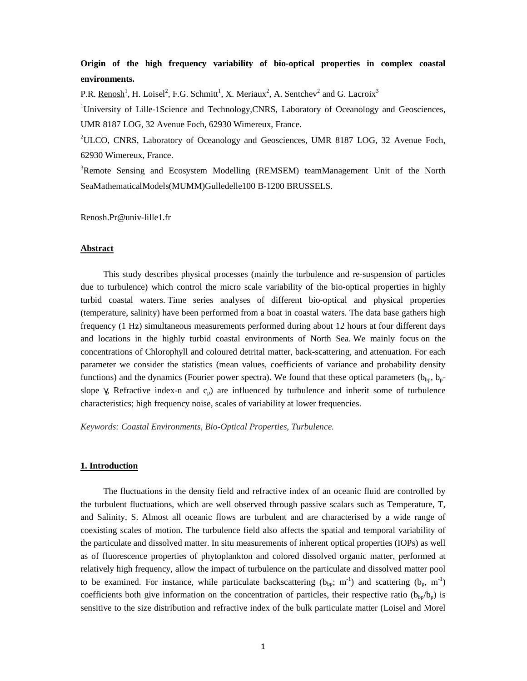# **Origin of the high frequency variability of bio-optical properties in complex coastal environments.**

P.R.  $\text{Renosh}^1$ , H. Loisel<sup>2</sup>, F.G. Schmitt<sup>1</sup>, X. Meriaux<sup>2</sup>, A. Sentchev<sup>2</sup> and G. Lacroix<sup>3</sup>

<sup>1</sup>University of Lille-1Science and Technology, CNRS, Laboratory of Oceanology and Geosciences, UMR 8187 LOG, 32 Avenue Foch, 62930 Wimereux, France.

<sup>2</sup>ULCO, CNRS, Laboratory of Oceanology and Geosciences, UMR 8187 LOG, 32 Avenue Foch, 62930 Wimereux, France.

<sup>3</sup>Remote Sensing and Ecosystem Modelling (REMSEM) teamManagement Unit of the North SeaMathematicalModels(MUMM)Gulledelle100 B-1200 BRUSSELS.

Renosh.Pr@univ-lille1.fr

#### **Abstract**

This study describes physical processes (mainly the turbulence and re-suspension of particles due to turbulence) which control the micro scale variability of the bio-optical properties in highly turbid coastal waters. Time series analyses of different bio-optical and physical properties (temperature, salinity) have been performed from a boat in coastal waters. The data base gathers high frequency (1 Hz) simultaneous measurements performed during about 12 hours at four different days and locations in the highly turbid coastal environments of North Sea. We mainly focus on the concentrations of Chlorophyll and coloured detrital matter, back-scattering, and attenuation. For each parameter we consider the statistics (mean values, coefficients of variance and probability density functions) and the dynamics (Fourier power spectra). We found that these optical parameters  $(b_{bp}, b_{p} - b_{bp})$ slope  $\gamma$ , Refractive index-n and c<sub>p</sub>) are influenced by turbulence and inherit some of turbulence characteristics; high frequency noise, scales of variability at lower frequencies.

*Keywords: Coastal Environments, Bio-Optical Properties, Turbulence.* 

#### **1. Introduction**

The fluctuations in the density field and refractive index of an oceanic fluid are controlled by the turbulent fluctuations, which are well observed through passive scalars such as Temperature, T, and Salinity, S. Almost all oceanic flows are turbulent and are characterised by a wide range of coexisting scales of motion. The turbulence field also affects the spatial and temporal variability of the particulate and dissolved matter. In situ measurements of inherent optical properties (IOPs) as well as of fluorescence properties of phytoplankton and colored dissolved organic matter, performed at relatively high frequency, allow the impact of turbulence on the particulate and dissolved matter pool to be examined. For instance, while particulate backscattering  $(b_{\text{bo}}; m^{-1})$  and scattering  $(b_{\text{p}}, m^{-1})$ coefficients both give information on the concentration of particles, their respective ratio  $(b_{\rm bo}/b_{\rm p})$  is sensitive to the size distribution and refractive index of the bulk particulate matter (Loisel and Morel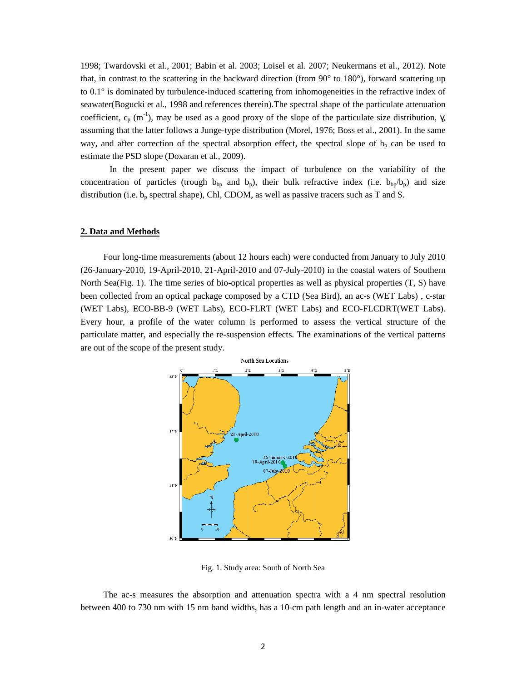1998; Twardovski et al., 2001; Babin et al. 2003; Loisel et al. 2007; Neukermans et al., 2012). Note that, in contrast to the scattering in the backward direction (from 90° to 180°), forward scattering up to 0.1° is dominated by turbulence-induced scattering from inhomogeneities in the refractive index of seawater(Bogucki et al., 1998 and references therein).The spectral shape of the particulate attenuation coefficient,  $c_p$  (m<sup>-1</sup>), may be used as a good proxy of the slope of the particulate size distribution,  $\gamma$ , assuming that the latter follows a Junge-type distribution (Morel, 1976; Boss et al., 2001). In the same way, and after correction of the spectral absorption effect, the spectral slope of  $b_p$  can be used to estimate the PSD slope (Doxaran et al., 2009).

 In the present paper we discuss the impact of turbulence on the variability of the concentration of particles (trough  $b_{bp}$  and  $b_p$ ), their bulk refractive index (i.e.  $b_{bp}/b_p$ ) and size distribution (i.e.  $b_p$  spectral shape), Chl, CDOM, as well as passive tracers such as T and S.

### **2. Data and Methods**

Four long-time measurements (about 12 hours each) were conducted from January to July 2010 (26-January-2010, 19-April-2010, 21-April-2010 and 07-July-2010) in the coastal waters of Southern North Sea(Fig. 1). The time series of bio-optical properties as well as physical properties (T, S) have been collected from an optical package composed by a CTD (Sea Bird), an ac-s (WET Labs) , c-star (WET Labs), ECO-BB-9 (WET Labs), ECO-FLRT (WET Labs) and ECO-FLCDRT(WET Labs). Every hour, a profile of the water column is performed to assess the vertical structure of the particulate matter, and especially the re-suspension effects. The examinations of the vertical patterns are out of the scope of the present study.



Fig. 1. Study area: South of North Sea

The ac-s measures the absorption and attenuation spectra with a 4 nm spectral resolution between 400 to 730 nm with 15 nm band widths, has a 10-cm path length and an in-water acceptance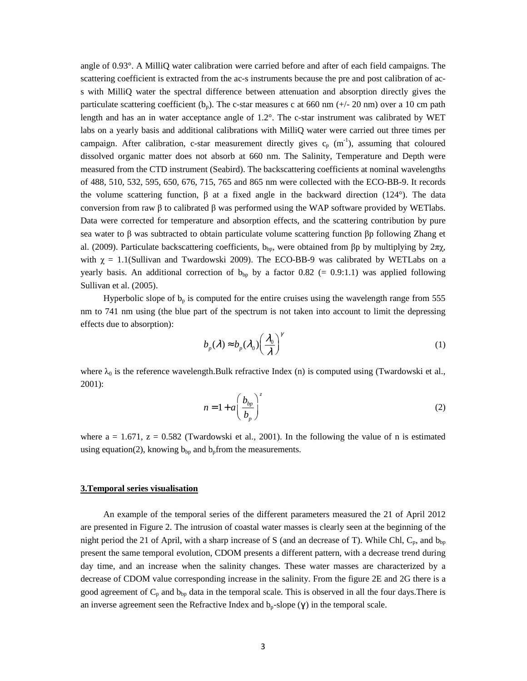angle of 0.93°. A MilliQ water calibration were carried before and after of each field campaigns. The scattering coefficient is extracted from the ac-s instruments because the pre and post calibration of acs with MilliQ water the spectral difference between attenuation and absorption directly gives the particulate scattering coefficient  $(b_p)$ . The c-star measures c at 660 nm ( $+/-20$  nm) over a 10 cm path length and has an in water acceptance angle of 1.2°. The c-star instrument was calibrated by WET labs on a yearly basis and additional calibrations with MilliQ water were carried out three times per campaign. After calibration, c-star measurement directly gives  $c_p$  (m<sup>-1</sup>), assuming that coloured dissolved organic matter does not absorb at 660 nm. The Salinity, Temperature and Depth were measured from the CTD instrument (Seabird). The backscattering coefficients at nominal wavelengths of 488, 510, 532, 595, 650, 676, 715, 765 and 865 nm were collected with the ECO-BB-9. It records the volume scattering function,  $\beta$  at a fixed angle in the backward direction (124°). The data conversion from raw β to calibrated β was performed using the WAP software provided by WETlabs. Data were corrected for temperature and absorption effects, and the scattering contribution by pure sea water to β was subtracted to obtain particulate volume scattering function βp following Zhang et al. (2009). Particulate backscattering coefficients,  $b_{\text{bp}}$ , were obtained from βp by multiplying by 2πχ, with  $\chi = 1.1$ (Sullivan and Twardowski 2009). The ECO-BB-9 was calibrated by WETLabs on a yearly basis. An additional correction of  $b_{bp}$  by a factor 0.82 (= 0.9:1.1) was applied following Sullivan et al. (2005).

Hyperbolic slope of  $b_p$  is computed for the entire cruises using the wavelength range from 555 nm to 741 nm using (the blue part of the spectrum is not taken into account to limit the depressing effects due to absorption):

$$
b_p(\lambda) \approx b_p(\lambda_0) \left(\frac{\lambda_0}{\lambda}\right)^{\gamma}
$$
 (1)

where  $\lambda_0$  is the reference wavelength.Bulk refractive Index (n) is computed using (Twardowski et al., 2001):

$$
n = 1 + a \left(\frac{b_{bp}}{b_p}\right)^z \tag{2}
$$

where  $a = 1.671$ ,  $z = 0.582$  (Twardowski et al., 2001). In the following the value of n is estimated using equation(2), knowing  $b_{bp}$  and  $b_p$  from the measurements.

#### **3.Temporal series visualisation**

An example of the temporal series of the different parameters measured the 21 of April 2012 are presented in Figure 2. The intrusion of coastal water masses is clearly seen at the beginning of the night period the 21 of April, with a sharp increase of S (and an decrease of T). While Chl,  $C_p$ , and  $b_{bp}$ present the same temporal evolution, CDOM presents a different pattern, with a decrease trend during day time, and an increase when the salinity changes. These water masses are characterized by a decrease of CDOM value corresponding increase in the salinity. From the figure 2E and 2G there is a good agreement of  $C_p$  and  $b_{bp}$  data in the temporal scale. This is observed in all the four days. There is an inverse agreement seen the Refractive Index and  $b_p$ -slope ( $\gamma$ ) in the temporal scale.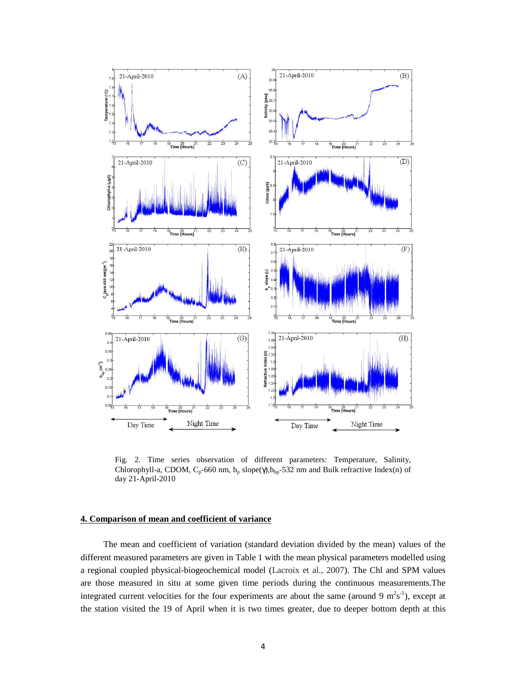

Fig. 2. Time series observation of different parameters: Temperature, Salinity, Chlorophyll-a, CDOM,  $C_p$ -660 nm,  $b_p$  slope( $\gamma$ ), $b_{bp}$ -532 nm and Bulk refractive Index(n) of day 21-April-2010

### **4. Comparison of mean and coefficient of variance**

The mean and coefficient of variation (standard deviation divided by the mean) values of the different measured parameters are given in Table 1 with the mean physical parameters modelled using a regional coupled physical-biogeochemical model (Lacroix et al., 2007). The Chl and SPM values are those measured in situ at some given time periods during the continuous measurements.The integrated current velocities for the four experiments are about the same (around 9  $m^2s^{-1}$ ), except at the station visited the 19 of April when it is two times greater, due to deeper bottom depth at this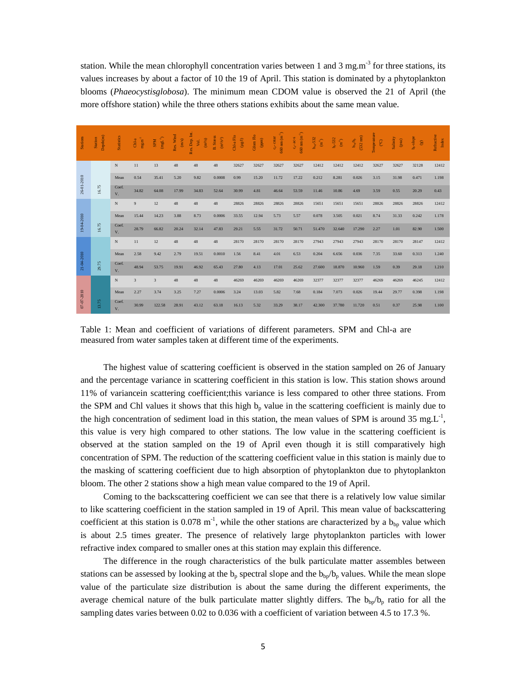station. While the mean chlorophyll concentration varies between 1 and 3 mg.m<sup>-3</sup> for three stations, its values increases by about a factor of 10 the 19 of April. This station is dominated by a phytoplankton blooms (*Phaeocystisglobosa*). The minimum mean CDOM value is observed the 21 of April (the more offshore station) while the three others stations exhibits about the same mean value.

| <b>Stations</b> | Depth(m)<br>Station | Statistics  | $\mathbf{mg}.\mathbf{m}^3$<br>$Chl-a$ | $(\mathbf{mgL}^+)$<br><b>SPM</b> | Res. Wind<br>(m/s) | Res. Dep. Int.<br>$\left( \mathrm{m}^{2}\!/ \mathrm{s}\right)$<br>Vel. | B. Stress<br>$\left(\text{m}^2/\text{s}^2\right)$ | $\rm Chl\text{-}a\, Flo$<br>$(\log d)$ | Cdom Flo<br>$\begin{array}{c} \hbox{(ppm)} \\\hbox{ } \end{array}$ | $560$ nm $(m-1)$<br>$c_p$ - cstar | $660 \text{ nm} \text{ (m}^{-1})$<br>$c_p$ - ac -s | $b_{\text{sp}}$ -532<br>$\widehat{\mathfrak{m}}$ | $b_p - 532$<br>$\mathbf{m}^{\text{-}1}$ | $(532 \text{ nm})$<br>$\mathbf{b}_{bp}\mathbf{b}_{p}$ | Temperature<br>$\mathbb{C}^{\circ}$ | Salinity<br>$_{\rm (psu)}$ | b <sub>r-slope</sub><br>$\mathbf{\widehat{S}}$ | Refractive<br>Index |
|-----------------|---------------------|-------------|---------------------------------------|----------------------------------|--------------------|------------------------------------------------------------------------|---------------------------------------------------|----------------------------------------|--------------------------------------------------------------------|-----------------------------------|----------------------------------------------------|--------------------------------------------------|-----------------------------------------|-------------------------------------------------------|-------------------------------------|----------------------------|------------------------------------------------|---------------------|
|                 |                     | N           | 11                                    | 13                               | 48                 | 48                                                                     | 48                                                | 32627                                  | 32627                                                              | 32627                             | 32627                                              | 12412                                            | 12412                                   | 12412                                                 | 32627                               | 32627                      | 32128                                          | 12412               |
| 26-01-2010      |                     | Mean        | 0.54                                  | 35.41                            | 5.20               | 9.82                                                                   | 0.0008                                            | 0.99                                   | 15.20                                                              | 11.72                             | 17.22                                              | 0.212                                            | 8.281                                   | 0.026                                                 | 3.15                                | 31.98                      | 0.471                                          | 1.198               |
|                 | 16.75               | Coef.<br>V. | 34.82                                 | 64.08                            | 17.99              | 34.83                                                                  | 52.64                                             | 30.99                                  | 4.81                                                               | 46.64                             | 53.59                                              | 11.46                                            | 10.86                                   | 4.69                                                  | 3.59                                | 0.55                       | 20.29                                          | 0.43                |
| 19-04-2010      |                     | $\mathbf N$ | $\overline{9}$                        | 12                               | 48                 | 48                                                                     | 48                                                | 28826                                  | 28826                                                              | 28826                             | 28826                                              | 15651                                            | 15651                                   | 15651                                                 | 28826                               | 28826                      | 28826                                          | 12412               |
|                 |                     | Mean        | 15.44                                 | 14.23                            | 3.88               | 8.73                                                                   | 0.0006                                            | 33.55                                  | 12.94                                                              | 5.73                              | 5.57                                               | 0.078                                            | 3.505                                   | 0.021                                                 | 8.74                                | 31.33                      | 0.242                                          | 1.178               |
|                 | 16.75               | Coef.<br>V. | 28.79                                 | 66.82                            | 20.24              | 32.14                                                                  | 47.83                                             | 29.21                                  | 5.55                                                               | 31.72                             | 50.71                                              | 51.470                                           | 32.640                                  | 17.290                                                | 2.27                                | 1.01                       | 82.90                                          | 1.500               |
| 21-04-2010      |                     | N           | 11                                    | 12                               | 48                 | 48                                                                     | 48                                                | 28170                                  | 28170                                                              | 28170                             | 28170                                              | 27943                                            | 27943                                   | 27943                                                 | 28170                               | 28170                      | 28147                                          | 12412               |
|                 |                     | Mean        | 2.58                                  | 9.42                             | 2.79               | 19.51                                                                  | 0.0010                                            | 1.56                                   | 8.41                                                               | 4.01                              | 6.53                                               | 0.204                                            | 6.656                                   | 0.036                                                 | 7.35                                | 33.60                      | 0.313                                          | 1.240               |
|                 | 29.75               | Coef.<br>V. | 48.94                                 | 53.75                            | 19.91              | 46.92                                                                  | 65.43                                             | 27.80                                  | 4.13                                                               | 17.01                             | 25.62                                              | 27,600                                           | 18.870                                  | 10.960                                                | 1.59                                | 0.39                       | 29.18                                          | 1.210               |
| 07-07-2010      |                     | N           | $\overline{3}$                        | 3                                | 48                 | 48                                                                     | 48                                                | 46269                                  | 46269                                                              | 46269                             | 46269                                              | 32377                                            | 32377                                   | 32377                                                 | 46269                               | 46269                      | 46245                                          | 12412               |
|                 |                     | Mean        | 2.27                                  | 3.74                             | 3.25               | 7.27                                                                   | 0.0006                                            | 3.24                                   | 13.03                                                              | 5.82                              | 7.68                                               | 0.184                                            | 7.073                                   | 0.026                                                 | 19.44                               | 29.77                      | 0.398                                          | 1.198               |
|                 | $13.75$             | Coef.<br>V. | 30.99                                 | 122.58                           | 28.91              | 43.12                                                                  | 63.18                                             | 16.13                                  | 5.32                                                               | 33.29                             | 38.17                                              | 42.300                                           | 37.780                                  | 11.720                                                | 0.51                                | 0.37                       | 25.98                                          | 1.100               |

Table 1: Mean and coefficient of variations of different parameters. SPM and Chl-a are measured from water samples taken at different time of the experiments.

The highest value of scattering coefficient is observed in the station sampled on 26 of January and the percentage variance in scattering coefficient in this station is low. This station shows around 11% of variancein scattering coefficient;this variance is less compared to other three stations. From the SPM and Chl values it shows that this high  $b<sub>p</sub>$  value in the scattering coefficient is mainly due to the high concentration of sediment load in this station, the mean values of SPM is around 35 mg.L<sup>-1</sup>, this value is very high compared to other stations. The low value in the scattering coefficient is observed at the station sampled on the 19 of April even though it is still comparatively high concentration of SPM. The reduction of the scattering coefficient value in this station is mainly due to the masking of scattering coefficient due to high absorption of phytoplankton due to phytoplankton bloom. The other 2 stations show a high mean value compared to the 19 of April.

Coming to the backscattering coefficient we can see that there is a relatively low value similar to like scattering coefficient in the station sampled in 19 of April. This mean value of backscattering coefficient at this station is 0.078 m<sup>-1</sup>, while the other stations are characterized by a  $b_{bp}$  value which is about 2.5 times greater. The presence of relatively large phytoplankton particles with lower refractive index compared to smaller ones at this station may explain this difference.

The difference in the rough characteristics of the bulk particulate matter assembles between stations can be assessed by looking at the  $b_p$  spectral slope and the  $b_{bp}/b_p$  values. While the mean slope value of the particulate size distribution is about the same during the different experiments, the average chemical nature of the bulk particulate matter slightly differs. The  $b_{bp}/b_p$  ratio for all the sampling dates varies between 0.02 to 0.036 with a coefficient of variation between 4.5 to 17.3 %.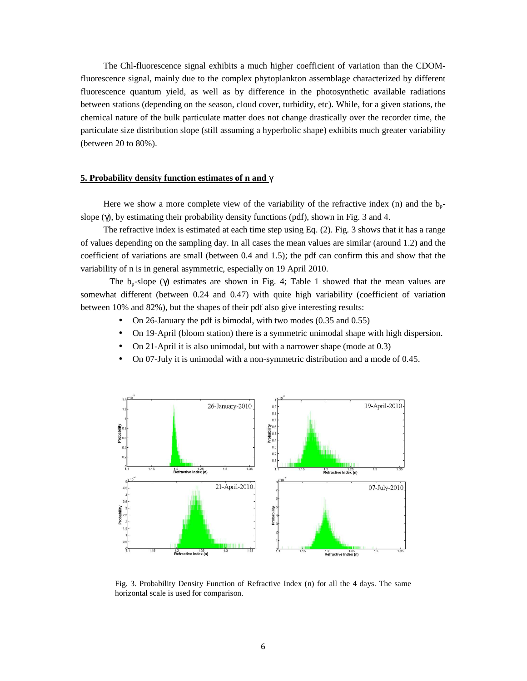The Chl-fluorescence signal exhibits a much higher coefficient of variation than the CDOMfluorescence signal, mainly due to the complex phytoplankton assemblage characterized by different fluorescence quantum yield, as well as by difference in the photosynthetic available radiations between stations (depending on the season, cloud cover, turbidity, etc). While, for a given stations, the chemical nature of the bulk particulate matter does not change drastically over the recorder time, the particulate size distribution slope (still assuming a hyperbolic shape) exhibits much greater variability (between 20 to 80%).

# **5. Probability density function estimates of n and** γ

Here we show a more complete view of the variability of the refractive index (n) and the  $b_{n-}$ slope (γ), by estimating their probability density functions (pdf), shown in Fig. 3 and 4.

The refractive index is estimated at each time step using Eq. (2). Fig. 3 shows that it has a range of values depending on the sampling day. In all cases the mean values are similar (around 1.2) and the coefficient of variations are small (between 0.4 and 1.5); the pdf can confirm this and show that the variability of n is in general asymmetric, especially on 19 April 2010.

The  $b_n$ -slope (γ) estimates are shown in Fig. 4; Table 1 showed that the mean values are somewhat different (between 0.24 and 0.47) with quite high variability (coefficient of variation between 10% and 82%), but the shapes of their pdf also give interesting results:

- On 26-January the pdf is bimodal, with two modes (0.35 and 0.55)
- On 19-April (bloom station) there is a symmetric unimodal shape with high dispersion.
- On 21-April it is also unimodal, but with a narrower shape (mode at 0.3)
- On 07-July it is unimodal with a non-symmetric distribution and a mode of 0.45.



Fig. 3. Probability Density Function of Refractive Index (n) for all the 4 days. The same horizontal scale is used for comparison.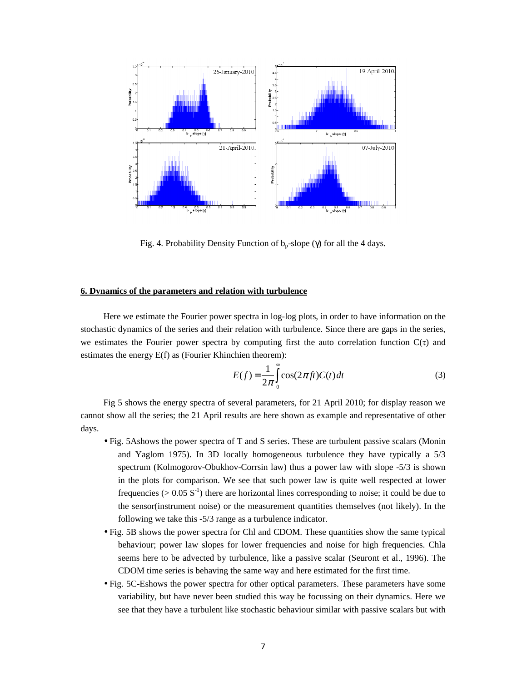

Fig. 4. Probability Density Function of  $b_p$ -slope (γ) for all the 4 days.

# **6. Dynamics of the parameters and relation with turbulence**

Here we estimate the Fourier power spectra in log-log plots, in order to have information on the stochastic dynamics of the series and their relation with turbulence. Since there are gaps in the series, we estimates the Fourier power spectra by computing first the auto correlation function  $C(\tau)$  and estimates the energy E(f) as (Fourier Khinchien theorem):

$$
E(f) = \frac{1}{2\pi} \int_{0}^{\infty} \cos(2\pi ft) C(t) dt
$$
 (3)

Fig 5 shows the energy spectra of several parameters, for 21 April 2010; for display reason we cannot show all the series; the 21 April results are here shown as example and representative of other days.

- Fig. 5Ashows the power spectra of T and S series. These are turbulent passive scalars (Monin and Yaglom 1975). In 3D locally homogeneous turbulence they have typically a 5/3 spectrum (Kolmogorov-Obukhov-Corrsin law) thus a power law with slope -5/3 is shown in the plots for comparison. We see that such power law is quite well respected at lower frequencies ( $> 0.05 S^{-1}$ ) there are horizontal lines corresponding to noise; it could be due to the sensor(instrument noise) or the measurement quantities themselves (not likely). In the following we take this -5/3 range as a turbulence indicator.
- Fig. 5B shows the power spectra for Chl and CDOM. These quantities show the same typical behaviour; power law slopes for lower frequencies and noise for high frequencies. Chla seems here to be advected by turbulence, like a passive scalar (Seuront et al., 1996). The CDOM time series is behaving the same way and here estimated for the first time.
- Fig. 5C-Eshows the power spectra for other optical parameters. These parameters have some variability, but have never been studied this way be focussing on their dynamics. Here we see that they have a turbulent like stochastic behaviour similar with passive scalars but with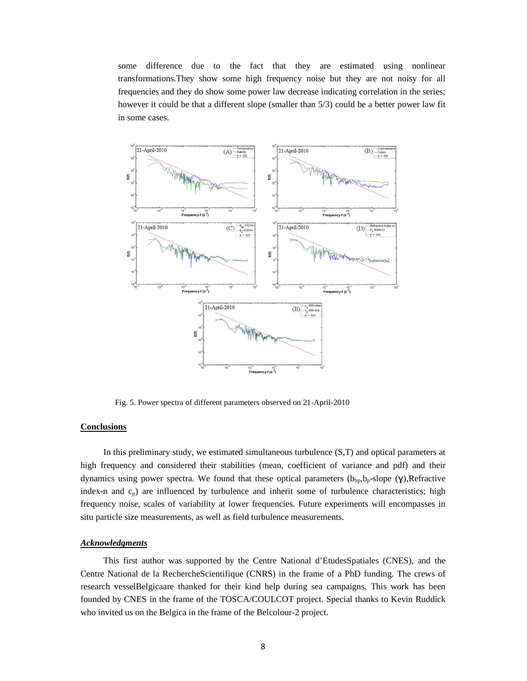some difference due to the fact that they are estimated using nonlinear transformations.They show some high frequency noise but they are not noisy for all frequencies and they do show some power law decrease indicating correlation in the series; however it could be that a different slope (smaller than 5/3) could be a better power law fit in some cases.



Fig. 5. Power spectra of different parameters observed on 21-April-2010

# **Conclusions**

In this preliminary study, we estimated simultaneous turbulence (S,T) and optical parameters at high frequency and considered their stabilities (mean, coefficient of variance and pdf) and their dynamics using power spectra. We found that these optical parameters  $(b_{bp}, b_p\text{-slope (Y)}$ ,Refractive index-n and  $c_p$ ) are influenced by turbulence and inherit some of turbulence characteristics; high frequency noise, scales of variability at lower frequencies. Future experiments will encompasses in situ particle size measurements, as well as field turbulence measurements.

# *Acknowledgments*

This first author was supported by the Centre National d'EtudesSpatiales (CNES), and the Centre National de la RechercheScientifique (CNRS) in the frame of a PhD funding. The crews of research vesselBelgicaare thanked for their kind help during sea campaigns. This work has been founded by CNES in the frame of the TOSCA/COULCOT project. Special thanks to Kevin Ruddick who invited us on the Belgica in the frame of the Belcolour-2 project.